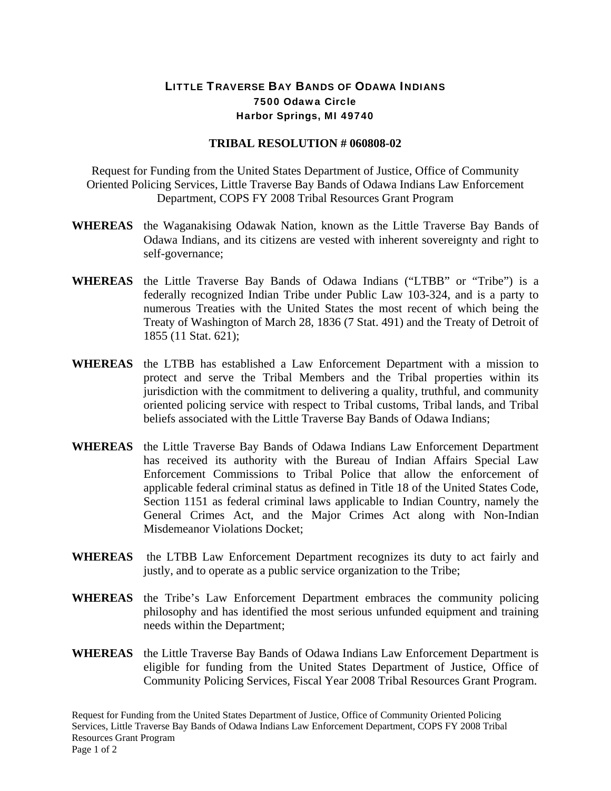## LITTLE TRAVERSE BAY BANDS OF ODAWA INDIANS 7500 Odawa Circle Harbor Springs, MI 49740

## **TRIBAL RESOLUTION # 060808-02**

Request for Funding from the United States Department of Justice, Office of Community Oriented Policing Services, Little Traverse Bay Bands of Odawa Indians Law Enforcement Department, COPS FY 2008 Tribal Resources Grant Program

- **WHEREAS** the Waganakising Odawak Nation, known as the Little Traverse Bay Bands of Odawa Indians, and its citizens are vested with inherent sovereignty and right to self-governance;
- **WHEREAS** the Little Traverse Bay Bands of Odawa Indians ("LTBB" or "Tribe") is a federally recognized Indian Tribe under Public Law 103-324, and is a party to numerous Treaties with the United States the most recent of which being the Treaty of Washington of March 28, 1836 (7 Stat. 491) and the Treaty of Detroit of 1855 (11 Stat. 621);
- **WHEREAS** the LTBB has established a Law Enforcement Department with a mission to protect and serve the Tribal Members and the Tribal properties within its jurisdiction with the commitment to delivering a quality, truthful, and community oriented policing service with respect to Tribal customs, Tribal lands, and Tribal beliefs associated with the Little Traverse Bay Bands of Odawa Indians;
- **WHEREAS** the Little Traverse Bay Bands of Odawa Indians Law Enforcement Department has received its authority with the Bureau of Indian Affairs Special Law Enforcement Commissions to Tribal Police that allow the enforcement of applicable federal criminal status as defined in Title 18 of the United States Code, Section 1151 as federal criminal laws applicable to Indian Country, namely the General Crimes Act, and the Major Crimes Act along with Non-Indian Misdemeanor Violations Docket;
- **WHEREAS** the LTBB Law Enforcement Department recognizes its duty to act fairly and justly, and to operate as a public service organization to the Tribe;
- **WHEREAS** the Tribe's Law Enforcement Department embraces the community policing philosophy and has identified the most serious unfunded equipment and training needs within the Department;
- **WHEREAS** the Little Traverse Bay Bands of Odawa Indians Law Enforcement Department is eligible for funding from the United States Department of Justice, Office of Community Policing Services, Fiscal Year 2008 Tribal Resources Grant Program.